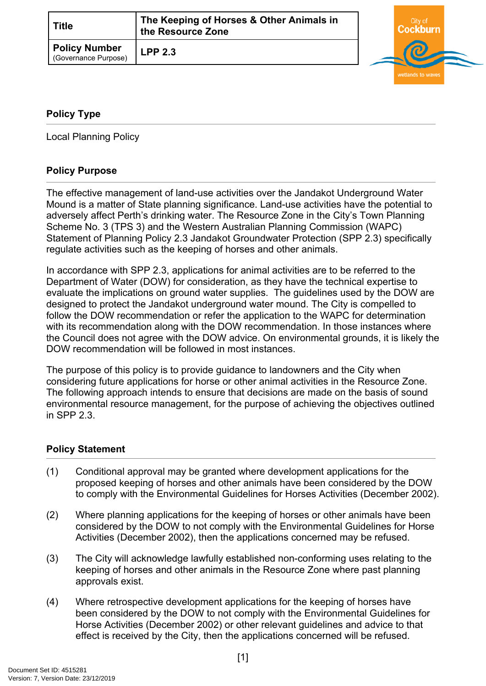| <b>Title</b>                                 | The Keeping of Horses & Other Animals in<br>the Resource Zone |  |
|----------------------------------------------|---------------------------------------------------------------|--|
| <b>Policy Number</b><br>(Governance Purpose) | <b>LPP 2.3</b>                                                |  |



## <span id="page-0-0"></span>**[Policy Type](#page-0-0)**

Local Planning Policy

## **Policy Purpose**

The effective management of land-use activities over the Jandakot Underground Water Mound is a matter of State planning significance. Land-use activities have the potential to adversely affect Perth's drinking water. The Resource Zone in the City's Town Planning Scheme No. 3 (TPS 3) and the Western Australian Planning Commission (WAPC) Statement of Planning Policy 2.3 Jandakot Groundwater Protection (SPP 2.3) specifically regulate activities such as the keeping of horses and other animals.

In accordance with SPP 2.3, applications for animal activities are to be referred to the Department of Water (DOW) for consideration, as they have the technical expertise to evaluate the implications on ground water supplies. The guidelines used by the DOW are designed to protect the Jandakot underground water mound. The City is compelled to follow the DOW recommendation or refer the application to the WAPC for determination with its recommendation along with the DOW recommendation. In those instances where the Council does not agree with the DOW advice. On environmental grounds, it is likely the DOW recommendation will be followed in most instances.

The purpose of this policy is to provide guidance to landowners and the City when considering future applications for horse or other animal activities in the Resource Zone. The following approach intends to ensure that decisions are made on the basis of sound environmental resource management, for the purpose of achieving the objectives outlined in SPP 2.3.

## **[Policy Statement](#page-0-1)**

- <span id="page-0-1"></span>(1) Conditional approval may be granted where development applications for the proposed keeping of horses and other animals have been considered by the DOW to comply with the Environmental Guidelines for Horses Activities (December 2002).
- (2) Where planning applications for the keeping of horses or other animals have been considered by the DOW to not comply with the Environmental Guidelines for Horse Activities (December 2002), then the applications concerned may be refused.
- (3) The City will acknowledge lawfully established non-conforming uses relating to the keeping of horses and other animals in the Resource Zone where past planning approvals exist.
- (4) Where retrospective development applications for the keeping of horses have been considered by the DOW to not comply with the Environmental Guidelines for Horse Activities (December 2002) or other relevant guidelines and advice to that effect is received by the City, then the applications concerned will be refused.